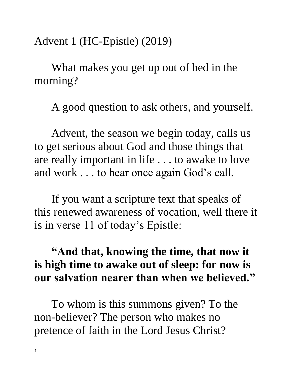Advent 1 (HC-Epistle) (2019)

What makes you get up out of bed in the morning?

A good question to ask others, and yourself.

Advent, the season we begin today, calls us to get serious about God and those things that are really important in life . . . to awake to love and work . . . to hear once again God's call.

If you want a scripture text that speaks of this renewed awareness of vocation, well there it is in verse 11 of today's Epistle:

## **"And that, knowing the time, that now it is high time to awake out of sleep: for now is our salvation nearer than when we believed."**

To whom is this summons given? To the non-believer? The person who makes no pretence of faith in the Lord Jesus Christ?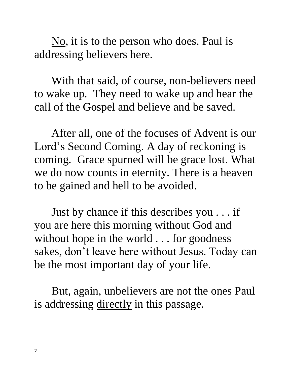No, it is to the person who does. Paul is addressing believers here.

With that said, of course, non-believers need to wake up. They need to wake up and hear the call of the Gospel and believe and be saved.

After all, one of the focuses of Advent is our Lord's Second Coming. A day of reckoning is coming. Grace spurned will be grace lost. What we do now counts in eternity. There is a heaven to be gained and hell to be avoided.

Just by chance if this describes you . . . if you are here this morning without God and without hope in the world . . . for goodness sakes, don't leave here without Jesus. Today can be the most important day of your life.

But, again, unbelievers are not the ones Paul is addressing directly in this passage.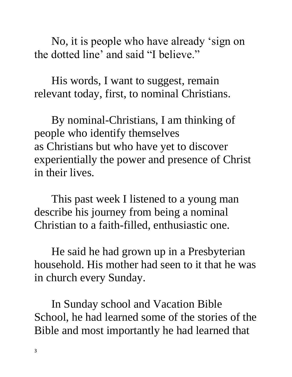No, it is people who have already 'sign on the dotted line' and said "I believe."

His words, I want to suggest, remain relevant today, first, to nominal Christians.

By nominal-Christians, I am thinking of people who identify themselves as Christians but who have yet to discover experientially the power and presence of Christ in their lives.

This past week I listened to a young man describe his journey from being a nominal Christian to a faith-filled, enthusiastic one.

He said he had grown up in a Presbyterian household. His mother had seen to it that he was in church every Sunday.

In Sunday school and Vacation Bible School, he had learned some of the stories of the Bible and most importantly he had learned that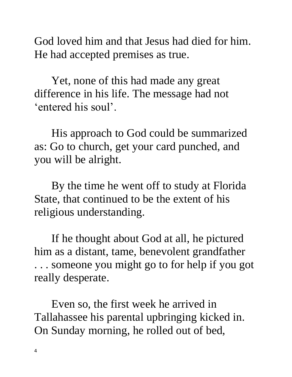God loved him and that Jesus had died for him. He had accepted premises as true.

Yet, none of this had made any great difference in his life. The message had not 'entered his soul'.

His approach to God could be summarized as: Go to church, get your card punched, and you will be alright.

By the time he went off to study at Florida State, that continued to be the extent of his religious understanding.

If he thought about God at all, he pictured him as a distant, tame, benevolent grandfather . . . someone you might go to for help if you got really desperate.

Even so, the first week he arrived in Tallahassee his parental upbringing kicked in. On Sunday morning, he rolled out of bed,

4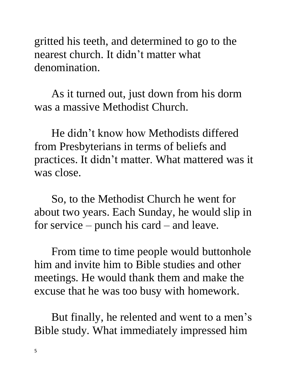gritted his teeth, and determined to go to the nearest church. It didn't matter what denomination.

As it turned out, just down from his dorm was a massive Methodist Church.

He didn't know how Methodists differed from Presbyterians in terms of beliefs and practices. It didn't matter. What mattered was it was close.

So, to the Methodist Church he went for about two years. Each Sunday, he would slip in for service – punch his card – and leave.

From time to time people would buttonhole him and invite him to Bible studies and other meetings. He would thank them and make the excuse that he was too busy with homework.

But finally, he relented and went to a men's Bible study. What immediately impressed him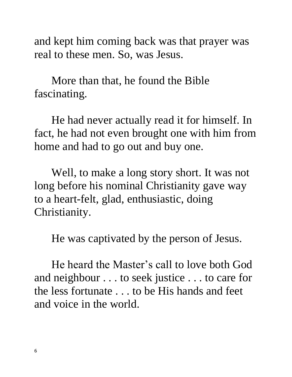and kept him coming back was that prayer was real to these men. So, was Jesus.

More than that, he found the Bible fascinating.

He had never actually read it for himself. In fact, he had not even brought one with him from home and had to go out and buy one.

Well, to make a long story short. It was not long before his nominal Christianity gave way to a heart-felt, glad, enthusiastic, doing Christianity.

He was captivated by the person of Jesus.

He heard the Master's call to love both God and neighbour . . . to seek justice . . . to care for the less fortunate . . . to be His hands and feet and voice in the world.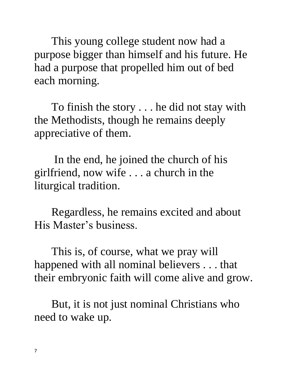This young college student now had a purpose bigger than himself and his future. He had a purpose that propelled him out of bed each morning.

To finish the story . . . he did not stay with the Methodists, though he remains deeply appreciative of them.

In the end, he joined the church of his girlfriend, now wife . . . a church in the liturgical tradition.

Regardless, he remains excited and about His Master's business.

This is, of course, what we pray will happened with all nominal believers . . . that their embryonic faith will come alive and grow.

But, it is not just nominal Christians who need to wake up.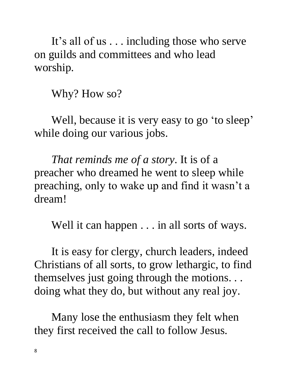It's all of us . . . including those who serve on guilds and committees and who lead worship.

Why? How so?

Well, because it is very easy to go 'to sleep' while doing our various jobs.

*That reminds me of a story*. It is of a preacher who dreamed he went to sleep while preaching, only to wake up and find it wasn't a dream!

Well it can happen . . . in all sorts of ways.

It is easy for clergy, church leaders, indeed Christians of all sorts, to grow lethargic, to find themselves just going through the motions. . . doing what they do, but without any real joy.

Many lose the enthusiasm they felt when they first received the call to follow Jesus.